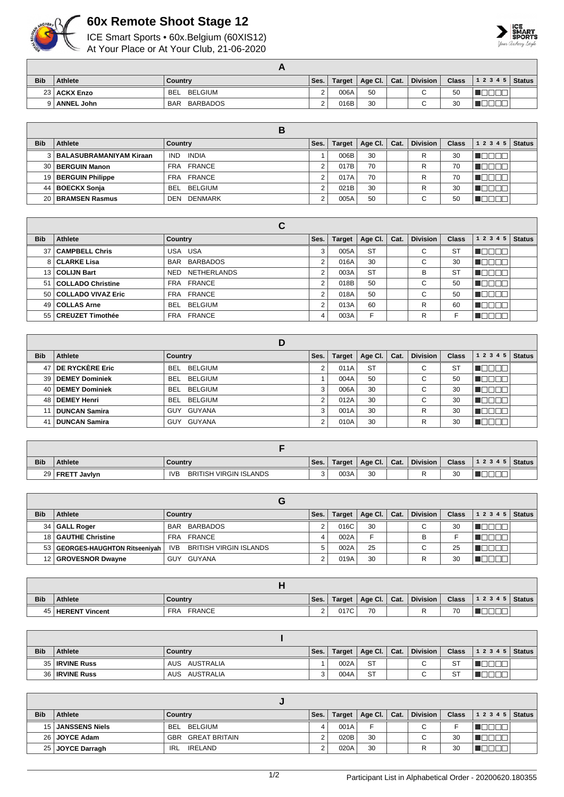

## **60x Remote Shoot Stage 12**

ICE Smart Sports • 60x.Belgium (60XIS12) At Your Place or At Your Club, 21-06-2020



|            |                   | гJ.                    |        |        |                |          |              |                |  |
|------------|-------------------|------------------------|--------|--------|----------------|----------|--------------|----------------|--|
| <b>Bib</b> | Athlete           | Country                | Ses.   | Target | Age Cl.   Cat. | Division | <b>Class</b> | $12345$ Status |  |
|            | 23   ACKX Enzo    | <b>BELGIUM</b><br>BEL  | $\sim$ | 006A   | 50             |          | 50           |                |  |
|            | <b>ANNEL John</b> | BARBADOS<br><b>BAR</b> |        | 016B   | 30             |          | 30           |                |  |
|            |                   |                        |        |        |                |          |              |                |  |

| <b>Bib</b> | Athlete                     | Country               | Ses. | <b>Target</b> | $^{\mathrm{t}}$ Age Cl. | Cat. | <b>Division</b> | <b>Class</b> | 1 2 3 4 5 | <b>Status</b> |
|------------|-----------------------------|-----------------------|------|---------------|-------------------------|------|-----------------|--------------|-----------|---------------|
|            | 3   BALASUBRAMANIYAM Kiraan | <b>INDIA</b><br>IND.  |      | 006B          | 30                      |      | R               | 30           |           |               |
|            | 30 BERGUIN Manon            | FRA FRANCE            |      | 017B          | 70                      |      | R               | 70           |           |               |
|            | 19   BERGUIN Philippe       | FRA FRANCE            |      | 017A          | 70                      |      |                 | 70           |           |               |
| 44 l       | BOECKX Sonja                | BELGIUM<br>BEL        |      | 021B          | 30                      |      | R               | 30           |           |               |
|            | 20 BRAMSEN Rasmus           | <b>DENMARK</b><br>DEN |      | 005A          | 50                      |      | $\sim$<br>v     | 50           |           |               |

|            |                        | С                                |      |               |             |      |                 |              |                  |               |
|------------|------------------------|----------------------------------|------|---------------|-------------|------|-----------------|--------------|------------------|---------------|
| <b>Bib</b> | Athlete                | Country                          | Ses. | <b>Target</b> | Age Cl. $ $ | Cat. | <b>Division</b> | <b>Class</b> | 1 2 3 4 5        | <b>Status</b> |
|            | 37   CAMPBELL Chris    | USA USA                          | 3    | 005A          | <b>ST</b>   |      | ⌒<br>U          | <b>ST</b>    | <u> I de e e</u> |               |
|            | 8 CLARKE Lisa          | <b>BARBADOS</b><br><b>BAR</b>    | 2    | 016A          | 30          |      | C               | 30           | <u> 10000</u>    |               |
|            | 13   COLIJN Bart       | <b>NETHERLANDS</b><br><b>NED</b> | 2    | 003A          | <b>ST</b>   |      | в               | <b>ST</b>    | 70 O             |               |
|            | 51   COLLADO Christine | FRA FRANCE                       | 2    | 018B          | 50          |      | C               | 50           | 70 O             |               |
|            | 50 COLLADO VIVAZ Eric  | FRA FRANCE                       | 2    | 018A          | 50          |      | $\sim$<br>◡     | 50           | TNT              |               |
|            | 49   COLLAS Arne       | BELGIUM<br>BEL                   | 2    | 013A          | 60          |      | R               | 60           | חחר              |               |
|            | 55   CREUZET Timothée  | FRA FRANCE                       | 4    | 003A          | E           |      | R               |              |                  |               |

|            |                       | D                            |      |               |           |      |                               |              |              |               |
|------------|-----------------------|------------------------------|------|---------------|-----------|------|-------------------------------|--------------|--------------|---------------|
| <b>Bib</b> | Athlete               | Country                      | Ses. | <b>Target</b> | Age Cl.   | Cat. | <b>Division</b>               | <b>Class</b> | 1 2 3 4 5    | <b>Status</b> |
| 47         | DE RYCKERE Eric       | <b>BEL</b><br><b>BELGIUM</b> | c    | 011A          | <b>ST</b> |      | ⌒<br>U                        | <b>ST</b>    |              |               |
| 39         | <b>DEMEY Dominiek</b> | <b>BELGIUM</b><br><b>BEL</b> |      | 004A          | 50        |      | ⌒<br>◡                        | 50           |              |               |
| 40         | <b>DEMEY Dominiek</b> | BELGIUM<br><b>BEL</b>        | 3    | 006A          | 30        |      | $\overline{\phantom{0}}$<br>U | 30           | $\mathbb{I}$ |               |
| 48         | <b>DEMEY Henri</b>    | <b>BEL</b><br>BELGIUM        | c    | 012A          | 30        |      | ⌒<br>◡                        | 30           | - III.       |               |
| 11         | <b>DUNCAN Samira</b>  | GUY GUYANA                   | 3    | 001A          | 30        |      | R                             | 30           |              |               |
| -41        | <b>DUNCAN Samira</b>  | GUY GUYANA                   | ◠    | 010A          | 30        |      | R                             | 30           |              |               |

| <b>Bib</b> | <b>Athlete</b>    | Country                                     | Ses. | Target | Age Cl.   Cat. | <b>Division</b> | <b>Class</b> | 12345 | <b>Status</b> |
|------------|-------------------|---------------------------------------------|------|--------|----------------|-----------------|--------------|-------|---------------|
|            | 29   FRETT Javlyn | <b>BRITISH VIRGIN ISLANDS</b><br><b>IVB</b> |      | 003A   | 30             |                 | 30           |       |               |

| <b>Bib</b> | <b>Athlete</b>                    | Country                              | Ses. | Target | Age Cl. $\vert$ | Cat. | <b>Division</b>      | <b>Class</b> | 1 2 3 4 5 | <b>Status</b> |
|------------|-----------------------------------|--------------------------------------|------|--------|-----------------|------|----------------------|--------------|-----------|---------------|
|            | 34   GALL Roger                   | BARBADOS<br><b>BAR</b>               |      | 016C   | 30              |      | C                    | 30           |           |               |
|            | 18   GAUTHE Christine             | FRANCE<br>FRA                        |      | 002A   | Е               |      | в                    |              |           |               |
|            | 53   GEORGES-HAUGHTON Ritseeniyah | BRITISH VIRGIN ISLANDS<br><b>IVB</b> |      | 002A   | 25              |      | ⌒<br>$\mathbf \cdot$ | 25           |           |               |
|            | 12   GROVESNOR Dwayne             | GUYANA<br>GUY                        |      | 019A   | 30              |      |                      | 30           |           |               |

|            |                       | . .                         |          |               |         |      |                 |              |       |               |
|------------|-----------------------|-----------------------------|----------|---------------|---------|------|-----------------|--------------|-------|---------------|
| <b>Bib</b> | <b>Athlete</b>        | Country                     | Ses.     | <b>Target</b> | Age Cl. | Cat. | <b>Division</b> | <b>Class</b> | 12345 | <b>Status</b> |
| 45         | <b>HERENT Vincent</b> | <b>FRANCE</b><br><b>FRA</b> | <u>.</u> | 017C          | 70      |      |                 | 70           | ___   |               |

| <b>Bib</b> | <b>Athlete</b>   | Country          | Ses.   | Target | Age Cl. $ $ | Cat. | <b>Division</b> | <b>Class</b> | $12345$ Status |  |
|------------|------------------|------------------|--------|--------|-------------|------|-----------------|--------------|----------------|--|
|            | 35   IRVINE Russ | AUSTRALIA<br>AUS |        | 002A   | <b>ST</b>   |      |                 | <b>ST</b>    |                |  |
|            | 36   IRVINE Russ | AUSTRALIA<br>AUS | ີ<br>ີ | 004A   | <b>ST</b>   |      |                 | ST           |                |  |

| <b>Bib</b>      | <b>Athlete</b>   | Country                            | Ses. | Target | Age Cl. $\vert$ Cat. | <b>Division</b> | <b>Class</b> | 1 2 3 4 5   Status |  |
|-----------------|------------------|------------------------------------|------|--------|----------------------|-----------------|--------------|--------------------|--|
| 15 <sub>1</sub> | ∣ JANSSENS Niels | BELGIUM<br><b>BEL</b>              |      | 001A   |                      | $\sim$<br>◡     |              |                    |  |
|                 | 26 JOYCE Adam    | <b>GREAT BRITAIN</b><br><b>GBR</b> |      | 020B   | 30                   | $\sim$<br>◡     | 30           |                    |  |
|                 | 25 JOYCE Darragh | IRELAND<br>IRL                     |      | 020A   | 30                   |                 | 30           |                    |  |